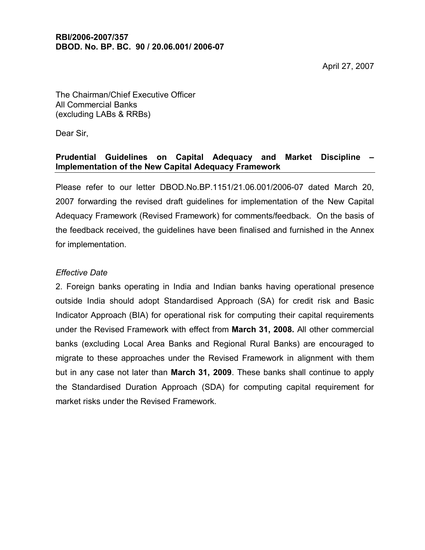April 27, 2007

The Chairman/Chief Executive Officer All Commercial Banks (excluding LABs & RRBs)

Dear Sir,

## **Prudential Guidelines on Capital Adequacy and Market Discipline – Implementation of the New Capital Adequacy Framework**

Please refer to our letter DBOD.No.BP.1151/21.06.001/2006-07 dated March 20, 2007 forwarding the revised draft guidelines for implementation of the New Capital Adequacy Framework (Revised Framework) for comments/feedback. On the basis of the feedback received, the guidelines have been finalised and furnished in the Annex for implementation.

## *Effective Date*

2. Foreign banks operating in India and Indian banks having operational presence outside India should adopt Standardised Approach (SA) for credit risk and Basic Indicator Approach (BIA) for operational risk for computing their capital requirements under the Revised Framework with effect from **March 31, 2008.** All other commercial banks (excluding Local Area Banks and Regional Rural Banks) are encouraged to migrate to these approaches under the Revised Framework in alignment with them but in any case not later than **March 31, 2009**. These banks shall continue to apply the Standardised Duration Approach (SDA) for computing capital requirement for market risks under the Revised Framework.